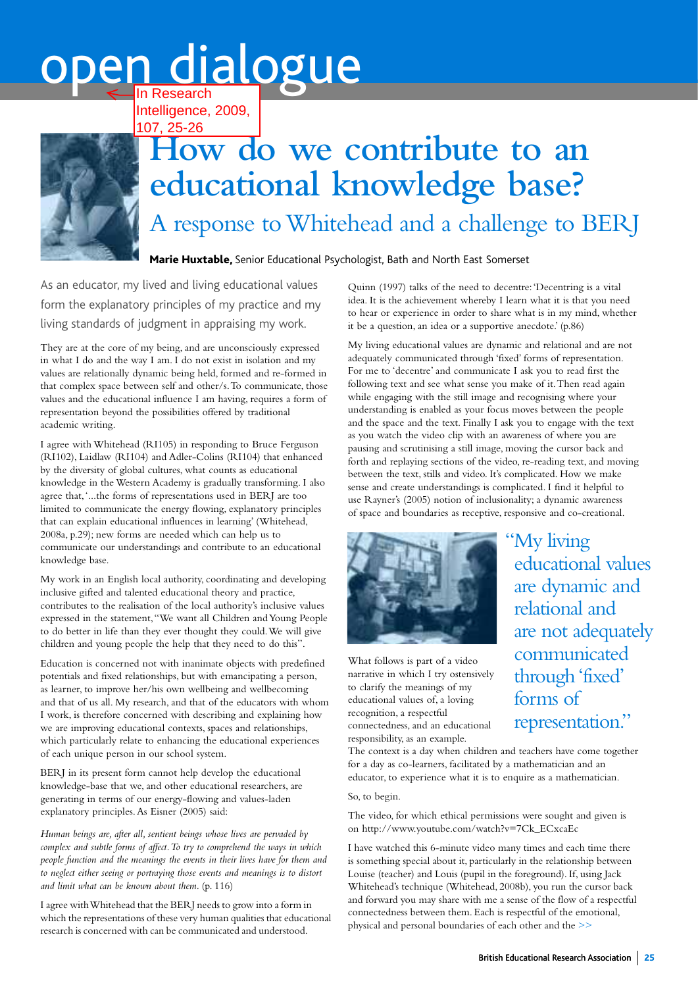## oen dialogue In Research

Intelligence, 2009, 107, 25-26



## **How do we contribute to an educational knowledge base?**  A response to Whitehead and a challenge to BERJ

Marie Huxtable, Senior Educational Psychologist, Bath and North East Somerset

As an educator, my lived and living educational values form the explanatory principles of my practice and my living standards of judgment in appraising my work.

They are at the core of my being, and are unconsciously expressed in what I do and the way I am. I do not exist in isolation and my values are relationally dynamic being held, formed and re-formed in that complex space between self and other/s.To communicate, those values and the educational influence I am having, requires a form of representation beyond the possibilities offered by traditional academic writing.

I agree with Whitehead (RI105) in responding to Bruce Ferguson (RI102), Laidlaw (RI104) and Adler-Colins (RI104) that enhanced by the diversity of global cultures, what counts as educational knowledge in the Western Academy is gradually transforming. I also agree that,'...the forms of representations used in BERJ are too limited to communicate the energy flowing, explanatory principles that can explain educational influences in learning' (Whitehead, 2008a, p.29); new forms are needed which can help us to communicate our understandings and contribute to an educational knowledge base.

My work in an English local authority, coordinating and developing inclusive gifted and talented educational theory and practice, contributes to the realisation of the local authority's inclusive values expressed in the statement,"We want all Children and Young People to do better in life than they ever thought they could.We will give children and young people the help that they need to do this".

Education is concerned not with inanimate objects with predefined potentials and fixed relationships, but with emancipating a person, as learner, to improve her/his own wellbeing and wellbecoming and that of us all. My research, and that of the educators with whom I work, is therefore concerned with describing and explaining how we are improving educational contexts, spaces and relationships, which particularly relate to enhancing the educational experiences of each unique person in our school system.

BERJ in its present form cannot help develop the educational knowledge-base that we, and other educational researchers, are generating in terms of our energy-flowing and values-laden explanatory principles.As Eisner (2005) said:

*Human beings are, after all, sentient beings whose lives are pervaded by complex and subtle forms of affect.To try to comprehend the ways in which people function and the meanings the events in their lives have for them and to neglect either seeing or portraying those events and meanings is to distort and limit what can be known about them.* (p. 116)

I agree with Whitehead that the BERJ needs to grow into a form in which the representations of these very human qualities that educational research is concerned with can be communicated and understood.

Quinn (1997) talks of the need to decentre:'Decentring is a vital idea. It is the achievement whereby I learn what it is that you need to hear or experience in order to share what is in my mind, whether it be a question, an idea or a supportive anecdote.' (p.86)

My living educational values are dynamic and relational and are not adequately communicated through 'fixed' forms of representation. For me to 'decentre' and communicate I ask you to read first the following text and see what sense you make of it.Then read again while engaging with the still image and recognising where your understanding is enabled as your focus moves between the people and the space and the text. Finally I ask you to engage with the text as you watch the video clip with an awareness of where you are pausing and scrutinising a still image, moving the cursor back and forth and replaying sections of the video, re-reading text, and moving between the text, stills and video. It's complicated. How we make sense and create understandings is complicated. I find it helpful to use Rayner's (2005) notion of inclusionality; a dynamic awareness of space and boundaries as receptive, responsive and co-creational.



What follows is part of a video narrative in which I try ostensively to clarify the meanings of my educational values of, a loving recognition, a respectful connectedness, and an educational responsibility, as an example.

"My living educational values are dynamic and relational and are not adequately communicated through 'fixed' forms of representation."

The context is a day when children and teachers have come together for a day as co-learners, facilitated by a mathematician and an educator, to experience what it is to enquire as a mathematician.

## So, to begin.

The video, for which ethical permissions were sought and given is on http://www.youtube.com/watch?v=7Ck\_ECxcaEc

I have watched this 6-minute video many times and each time there is something special about it, particularly in the relationship between Louise (teacher) and Louis (pupil in the foreground). If, using Jack Whitehead's technique (Whitehead, 2008b), you run the cursor back and forward you may share with me a sense of the flow of a respectful connectedness between them. Each is respectful of the emotional, physical and personal boundaries of each other and the >>